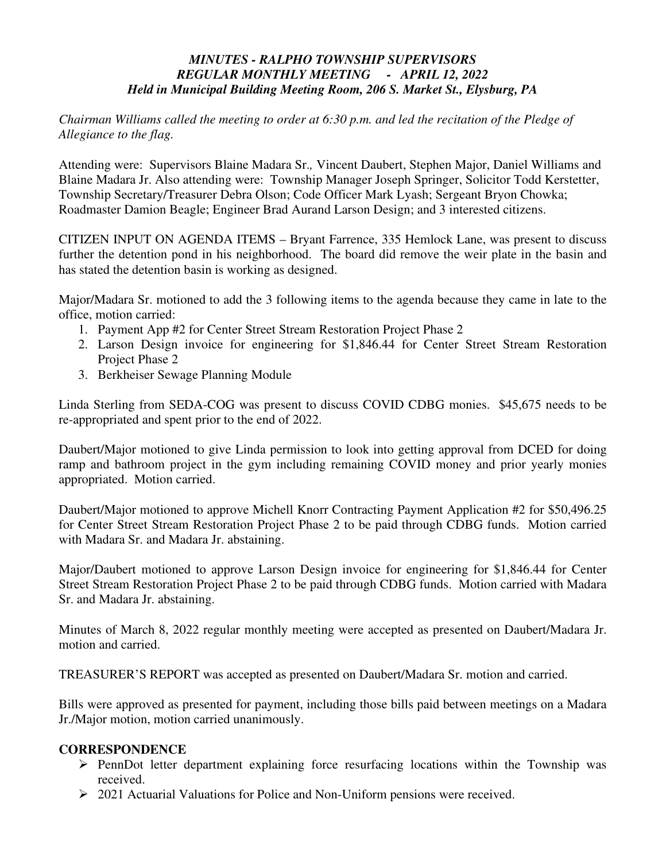## *MINUTES - RALPHO TOWNSHIP SUPERVISORS REGULAR MONTHLY MEETING - APRIL 12, 2022 Held in Municipal Building Meeting Room, 206 S. Market St., Elysburg, PA*

*Chairman Williams called the meeting to order at 6:30 p.m. and led the recitation of the Pledge of Allegiance to the flag.* 

Attending were: Supervisors Blaine Madara Sr.*,* Vincent Daubert, Stephen Major, Daniel Williams and Blaine Madara Jr. Also attending were: Township Manager Joseph Springer, Solicitor Todd Kerstetter, Township Secretary/Treasurer Debra Olson; Code Officer Mark Lyash; Sergeant Bryon Chowka; Roadmaster Damion Beagle; Engineer Brad Aurand Larson Design; and 3 interested citizens.

CITIZEN INPUT ON AGENDA ITEMS – Bryant Farrence, 335 Hemlock Lane, was present to discuss further the detention pond in his neighborhood. The board did remove the weir plate in the basin and has stated the detention basin is working as designed.

Major/Madara Sr. motioned to add the 3 following items to the agenda because they came in late to the office, motion carried:

- 1. Payment App #2 for Center Street Stream Restoration Project Phase 2
- 2. Larson Design invoice for engineering for \$1,846.44 for Center Street Stream Restoration Project Phase 2
- 3. Berkheiser Sewage Planning Module

Linda Sterling from SEDA-COG was present to discuss COVID CDBG monies. \$45,675 needs to be re-appropriated and spent prior to the end of 2022.

Daubert/Major motioned to give Linda permission to look into getting approval from DCED for doing ramp and bathroom project in the gym including remaining COVID money and prior yearly monies appropriated. Motion carried.

Daubert/Major motioned to approve Michell Knorr Contracting Payment Application #2 for \$50,496.25 for Center Street Stream Restoration Project Phase 2 to be paid through CDBG funds. Motion carried with Madara Sr. and Madara Jr. abstaining.

Major/Daubert motioned to approve Larson Design invoice for engineering for \$1,846.44 for Center Street Stream Restoration Project Phase 2 to be paid through CDBG funds. Motion carried with Madara Sr. and Madara Jr. abstaining.

Minutes of March 8, 2022 regular monthly meeting were accepted as presented on Daubert/Madara Jr. motion and carried.

TREASURER'S REPORT was accepted as presented on Daubert/Madara Sr. motion and carried.

Bills were approved as presented for payment, including those bills paid between meetings on a Madara Jr./Major motion, motion carried unanimously.

### **CORRESPONDENCE**

- $\triangleright$  PennDot letter department explaining force resurfacing locations within the Township was received.
- $\geq 2021$  Actuarial Valuations for Police and Non-Uniform pensions were received.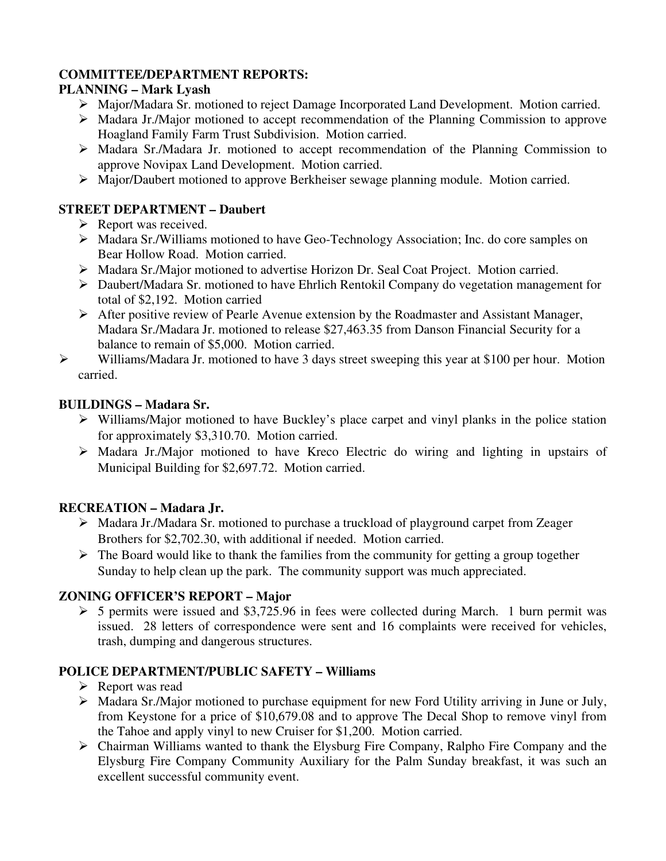## **COMMITTEE/DEPARTMENT REPORTS:**

# **PLANNING – Mark Lyash**

- Major/Madara Sr. motioned to reject Damage Incorporated Land Development. Motion carried.
- Madara Jr./Major motioned to accept recommendation of the Planning Commission to approve Hoagland Family Farm Trust Subdivision. Motion carried.
- Madara Sr./Madara Jr. motioned to accept recommendation of the Planning Commission to approve Novipax Land Development. Motion carried.
- Major/Daubert motioned to approve Berkheiser sewage planning module. Motion carried.

# **STREET DEPARTMENT – Daubert**

- $\triangleright$  Report was received.
- Madara Sr./Williams motioned to have Geo-Technology Association; Inc. do core samples on Bear Hollow Road. Motion carried.
- Madara Sr./Major motioned to advertise Horizon Dr. Seal Coat Project. Motion carried.
- Daubert/Madara Sr. motioned to have Ehrlich Rentokil Company do vegetation management for total of \$2,192. Motion carried
- After positive review of Pearle Avenue extension by the Roadmaster and Assistant Manager, Madara Sr./Madara Jr. motioned to release \$27,463.35 from Danson Financial Security for a balance to remain of \$5,000. Motion carried.
- $\triangleright$  Williams/Madara Jr. motioned to have 3 days street sweeping this year at \$100 per hour. Motion carried.

# **BUILDINGS – Madara Sr.**

- $\triangleright$  Williams/Major motioned to have Buckley's place carpet and vinyl planks in the police station for approximately \$3,310.70. Motion carried.
- Madara Jr./Major motioned to have Kreco Electric do wiring and lighting in upstairs of Municipal Building for \$2,697.72. Motion carried.

# **RECREATION – Madara Jr.**

- Madara Jr./Madara Sr. motioned to purchase a truckload of playground carpet from Zeager Brothers for \$2,702.30, with additional if needed. Motion carried.
- $\triangleright$  The Board would like to thank the families from the community for getting a group together Sunday to help clean up the park. The community support was much appreciated.

### **ZONING OFFICER'S REPORT – Major**

 $\geq 5$  permits were issued and \$3,725.96 in fees were collected during March. 1 burn permit was issued. 28 letters of correspondence were sent and 16 complaints were received for vehicles, trash, dumping and dangerous structures.

# **POLICE DEPARTMENT/PUBLIC SAFETY – Williams**

- $\triangleright$  Report was read
- Madara Sr./Major motioned to purchase equipment for new Ford Utility arriving in June or July, from Keystone for a price of \$10,679.08 and to approve The Decal Shop to remove vinyl from the Tahoe and apply vinyl to new Cruiser for \$1,200. Motion carried.
- Chairman Williams wanted to thank the Elysburg Fire Company, Ralpho Fire Company and the Elysburg Fire Company Community Auxiliary for the Palm Sunday breakfast, it was such an excellent successful community event.